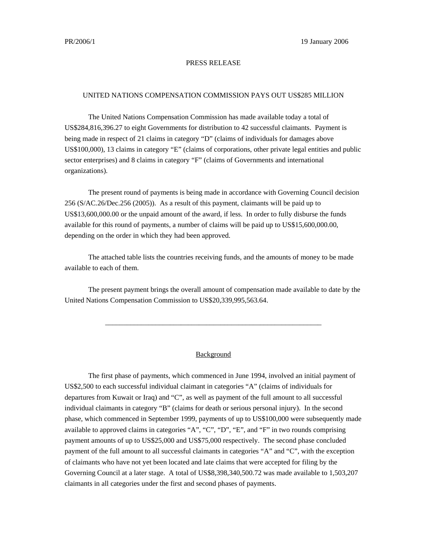## PRESS RELEASE

## UNITED NATIONS COMPENSATION COMMISSION PAYS OUT US\$285 MILLION

The United Nations Compensation Commission has made available today a total of US\$284,816,396.27 to eight Governments for distribution to 42 successful claimants. Payment is being made in respect of 21 claims in category "D" (claims of individuals for damages above US\$100,000), 13 claims in category "E" (claims of corporations, other private legal entities and public sector enterprises) and 8 claims in category "F" (claims of Governments and international organizations).

The present round of payments is being made in accordance with Governing Council decision 256 (S/AC.26/Dec.256 (2005)). As a result of this payment, claimants will be paid up to US\$13,600,000.00 or the unpaid amount of the award, if less. In order to fully disburse the funds available for this round of payments, a number of claims will be paid up to US\$15,600,000.00, depending on the order in which they had been approved.

The attached table lists the countries receiving funds, and the amounts of money to be made available to each of them.

The present payment brings the overall amount of compensation made available to date by the United Nations Compensation Commission to US\$20,339,995,563.64.

\_\_\_\_\_\_\_\_\_\_\_\_\_\_\_\_\_\_\_\_\_\_\_\_\_\_\_\_\_\_\_\_\_\_\_\_\_\_\_\_\_\_\_\_\_\_\_\_\_\_\_\_\_\_\_\_\_\_\_\_

## Background

The first phase of payments, which commenced in June 1994, involved an initial payment of US\$2,500 to each successful individual claimant in categories "A" (claims of individuals for departures from Kuwait or Iraq) and "C", as well as payment of the full amount to all successful individual claimants in category "B" (claims for death or serious personal injury). In the second phase, which commenced in September 1999, payments of up to US\$100,000 were subsequently made available to approved claims in categories "A", "C", "D", "E", and "F" in two rounds comprising payment amounts of up to US\$25,000 and US\$75,000 respectively. The second phase concluded payment of the full amount to all successful claimants in categories "A" and "C", with the exception of claimants who have not yet been located and late claims that were accepted for filing by the Governing Council at a later stage. A total of US\$8,398,340,500.72 was made available to 1,503,207 claimants in all categories under the first and second phases of payments.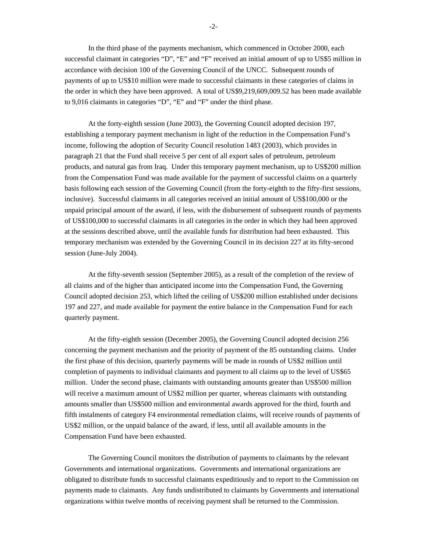In the third phase of the payments mechanism, which commenced in October 2000, each successful claimant in categories "D", "E" and "F" received an initial amount of up to US\$5 million in accordance with decision 100 of the Governing Council of the UNCC. Subsequent rounds of payments of up to US\$10 million were made to successful claimants in these categories of claims in the order in which they have been approved. A total of US\$9,219,609,009.52 has been made available to 9,016 claimants in categories "D", "E" and "F" under the third phase.

At the forty-eighth session (June 2003), the Governing Council adopted decision 197, establishing a temporary payment mechanism in light of the reduction in the Compensation Fund's income, following the adoption of Security Council resolution 1483 (2003), which provides in paragraph 21 that the Fund shall receive 5 per cent of all export sales of petroleum, petroleum products, and natural gas from Iraq. Under this temporary payment mechanism, up to US\$200 million from the Compensation Fund was made available for the payment of successful claims on a quarterly basis following each session of the Governing Council (from the forty-eighth to the fifty-first sessions, inclusive). Successful claimants in all categories received an initial amount of US\$100,000 or the unpaid principal amount of the award, if less, with the disbursement of subsequent rounds of payments of US\$100,000 to successful claimants in all categories in the order in which they had been approved at the sessions described above, until the available funds for distribution had been exhausted. This temporary mechanism was extended by the Governing Council in its decision 227 at its fifty-second session (June-July 2004).

At the fifty-seventh session (September 2005), as a result of the completion of the review of all claims and of the higher than anticipated income into the Compensation Fund, the Governing Council adopted decision 253, which lifted the ceiling of US\$200 million established under decisions 197 and 227, and made available for payment the entire balance in the Compensation Fund for each quarterly payment.

At the fifty-eighth session (December 2005), the Governing Council adopted decision 256 concerning the payment mechanism and the priority of payment of the 85 outstanding claims. Under the first phase of this decision, quarterly payments will be made in rounds of US\$2 million until completion of payments to individual claimants and payment to all claims up to the level of US\$65 million. Under the second phase, claimants with outstanding amounts greater than US\$500 million will receive a maximum amount of US\$2 million per quarter, whereas claimants with outstanding amounts smaller than US\$500 million and environmental awards approved for the third, fourth and fifth instalments of category F4 environmental remediation claims, will receive rounds of payments of US\$2 million, or the unpaid balance of the award, if less, until all available amounts in the Compensation Fund have been exhausted.

The Governing Council monitors the distribution of payments to claimants by the relevant Governments and international organizations. Governments and international organizations are obligated to distribute funds to successful claimants expeditiously and to report to the Commission on payments made to claimants. Any funds undistributed to claimants by Governments and international organizations within twelve months of receiving payment shall be returned to the Commission.

-2-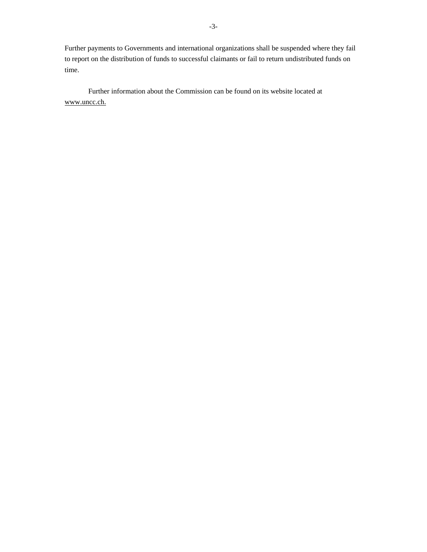Further payments to Governments and international organizations shall be suspended where they fail to report on the distribution of funds to successful claimants or fail to return undistributed funds on time.

Further information about the Commission can be found on its website located at www.uncc.ch.